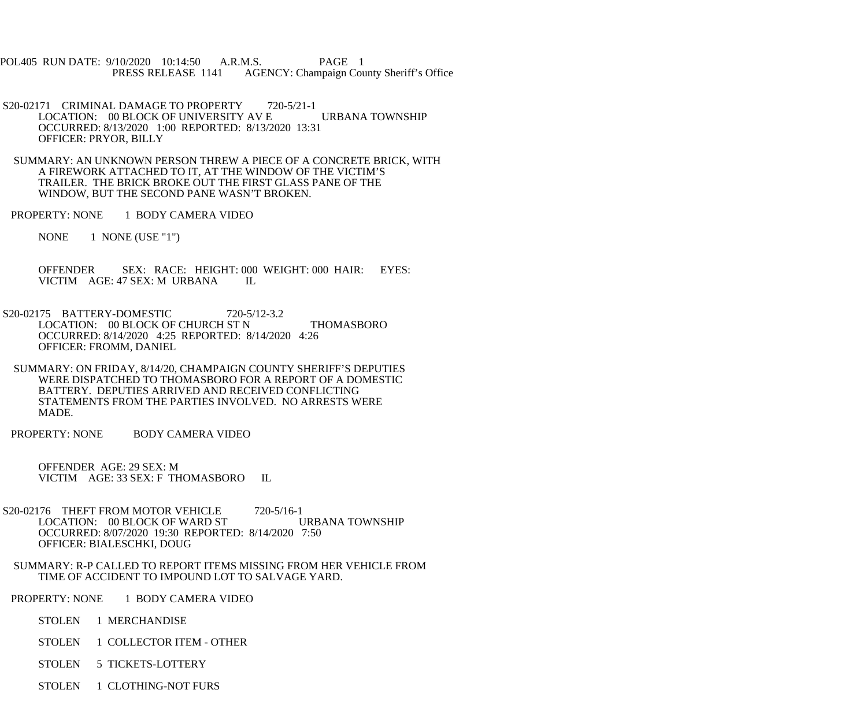POL405 RUN DATE: 9/10/2020 10:14:50 A.R.M.S. PAGE 1 PRESS RELEASE 1141 AGENCY: Champaign County Sheriff's Office

- S20-02171 CRIMINAL DAMAGE TO PROPERTY 720-5/21-1 LOCATION: 00 BLOCK OF UNIVERSITY AV E URBANA TOWNSHIP OCCURRED: 8/13/2020 1:00 REPORTED: 8/13/2020 13:31 OFFICER: PRYOR, BILLY
- SUMMARY: AN UNKNOWN PERSON THREW A PIECE OF A CONCRETE BRICK, WITH A FIREWORK ATTACHED TO IT, AT THE WINDOW OF THE VICTIM'S TRAILER. THE BRICK BROKE OUT THE FIRST GLASS PANE OF THE WINDOW, BUT THE SECOND PANE WASN'T BROKEN.
- PROPERTY: NONE 1 BODY CAMERA VIDEO
	- NONE 1 NONE (USE "1")

 OFFENDER SEX: RACE: HEIGHT: 000 WEIGHT: 000 HAIR: EYES: VICTIM AGE: 47 SEX: M URBANA IL

- S20-02175 BATTERY-DOMESTIC 720-5/12-3.2 LOCATION: 00 BLOCK OF CHURCH ST N THOMASBORO OCCURRED: 8/14/2020 4:25 REPORTED: 8/14/2020 4:26 OFFICER: FROMM, DANIEL
- SUMMARY: ON FRIDAY, 8/14/20, CHAMPAIGN COUNTY SHERIFF'S DEPUTIES WERE DISPATCHED TO THOMASBORO FOR A REPORT OF A DOMESTIC BATTERY. DEPUTIES ARRIVED AND RECEIVED CONFLICTING STATEMENTS FROM THE PARTIES INVOLVED. NO ARRESTS WERE MADE.
- PROPERTY: NONE BODY CAMERA VIDEO

 OFFENDER AGE: 29 SEX: M VICTIM AGE: 33 SEX: F THOMASBORO IL

- S20-02176 THEFT FROM MOTOR VEHICLE 720-5/16-1 LOCATION: 00 BLOCK OF WARD ST URBANA TOWNSHIP OCCURRED: 8/07/2020 19:30 REPORTED: 8/14/2020 7:50 OFFICER: BIALESCHKI, DOUG
- SUMMARY: R-P CALLED TO REPORT ITEMS MISSING FROM HER VEHICLE FROM TIME OF ACCIDENT TO IMPOUND LOT TO SALVAGE YARD.
- PROPERTY: NONE 1 BODY CAMERA VIDEO
	- STOLEN 1 MERCHANDISE
	- STOLEN 1 COLLECTOR ITEM OTHER
	- STOLEN 5 TICKETS-LOTTERY
	- STOLEN 1 CLOTHING-NOT FURS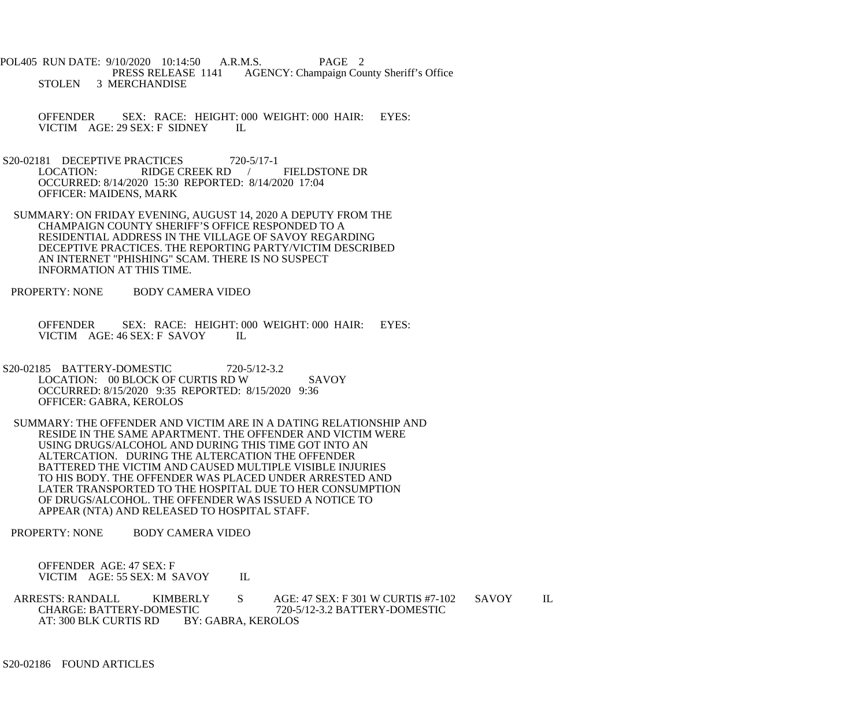POL405 RUN DATE: 9/10/2020 10:14:50 A.R.M.S. PAGE 2<br>PRESS RELEASE 1141 AGENCY: Champaign Cou AGENCY: Champaign County Sheriff's Office STOLEN 3 MERCHANDISE

 OFFENDER SEX: RACE: HEIGHT: 000 WEIGHT: 000 HAIR: EYES: VICTIM AGE: 29 SEX: F SIDNEY IL

- S20-02181 DECEPTIVE PRACTICES 720-5/17-1<br>LOCATION: RIDGE CREEK RD RIDGE CREEK RD / FIELDSTONE DR OCCURRED: 8/14/2020 15:30 REPORTED: 8/14/2020 17:04 OFFICER: MAIDENS, MARK
- SUMMARY: ON FRIDAY EVENING, AUGUST 14, 2020 A DEPUTY FROM THE CHAMPAIGN COUNTY SHERIFF'S OFFICE RESPONDED TO A RESIDENTIAL ADDRESS IN THE VILLAGE OF SAVOY REGARDING DECEPTIVE PRACTICES. THE REPORTING PARTY/VICTIM DESCRIBED AN INTERNET "PHISHING" SCAM. THERE IS NO SUSPECT INFORMATION AT THIS TIME.

PROPERTY: NONE BODY CAMERA VIDEO

OFFENDER SEX: RACE: HEIGHT: 000 WEIGHT: 000 HAIR: EYES: VICTIM AGE: 46 SEX: F SAVOY VICTIM AGE: 46 SEX: F SAVOY

- S20-02185 BATTERY-DOMESTIC 720-5/12-3.2 LOCATION: 00 BLOCK OF CURTIS RD W SAVOY OCCURRED: 8/15/2020 9:35 REPORTED: 8/15/2020 9:36 OFFICER: GABRA, KEROLOS
- SUMMARY: THE OFFENDER AND VICTIM ARE IN A DATING RELATIONSHIP AND RESIDE IN THE SAME APARTMENT. THE OFFENDER AND VICTIM WERE USING DRUGS/ALCOHOL AND DURING THIS TIME GOT INTO AN ALTERCATION. DURING THE ALTERCATION THE OFFENDER BATTERED THE VICTIM AND CAUSED MULTIPLE VISIBLE INJURIES TO HIS BODY. THE OFFENDER WAS PLACED UNDER ARRESTED AND LATER TRANSPORTED TO THE HOSPITAL DUE TO HER CONSUMPTION OF DRUGS/ALCOHOL. THE OFFENDER WAS ISSUED A NOTICE TO APPEAR (NTA) AND RELEASED TO HOSPITAL STAFF.

PROPERTY: NONE BODY CAMERA VIDEO

 OFFENDER AGE: 47 SEX: F VICTIM AGE: 55 SEX: M SAVOY IL

ARRESTS: RANDALL KIMBERLY S AGE: 47 SEX: F 301 W CURTIS #7-102 SAVOY IL CHARGE: BATTERY-DOMESTIC 720-5/12-3.2 BATTERY-DOMESTIC TIC 720-5/12-3.2 BATTERY-DOMESTIC<br>BY: GABRA, KEROLOS AT: 300 BLK CURTIS RD

S20-02186 FOUND ARTICLES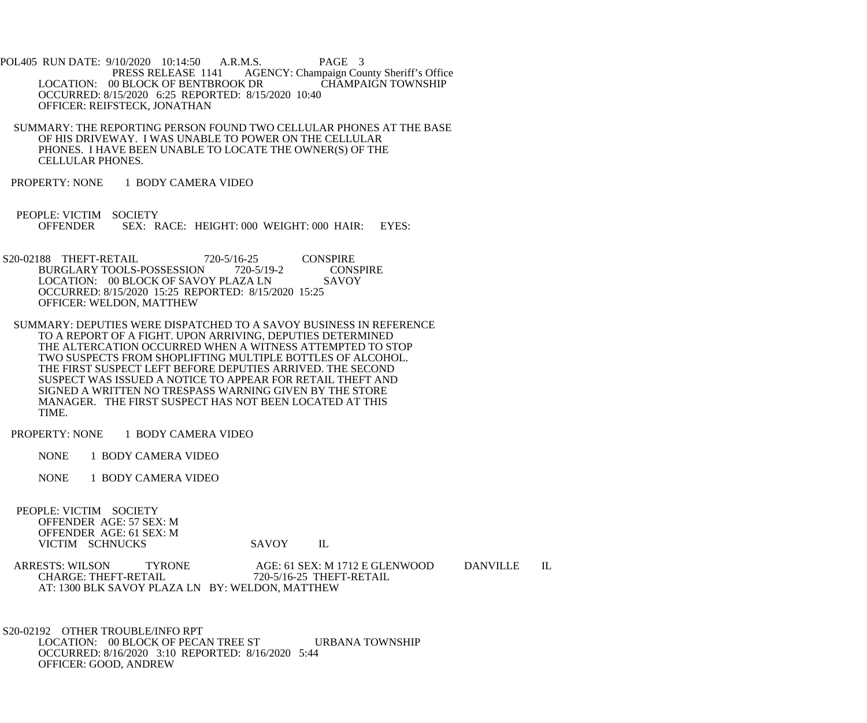POL405 RUN DATE: 9/10/2020 10:14:50 A.R.M.S. PAGE 3<br>PRESS RELEASE 1141 AGENCY: Champaign Cou AGENCY: Champaign County Sheriff's Office<br>CHAMPAIGN TOWNSHIP LOCATION: 00 BLOCK OF BENTBROOK DR OCCURRED: 8/15/2020 6:25 REPORTED: 8/15/2020 10:40 OFFICER: REIFSTECK, JONATHAN

- SUMMARY: THE REPORTING PERSON FOUND TWO CELLULAR PHONES AT THE BASE OF HIS DRIVEWAY. I WAS UNABLE TO POWER ON THE CELLULAR PHONES. I HAVE BEEN UNABLE TO LOCATE THE OWNER(S) OF THE CELLULAR PHONES.
- PROPERTY: NONE 1 BODY CAMERA VIDEO
- PEOPLE: VICTIM SOCIETY<br>OFFENDER SEX: R SEX: RACE: HEIGHT: 000 WEIGHT: 000 HAIR: EYES:
- S20-02188 THEFT-RETAIL 720-5/16-25 CONSPIRE<br>BURGLARY TOOLS-POSSESSION 720-5/19-2 CONSPIRE BURGLARY TOOLS-POSSESSION 720-5/19-2 CONSP<br>LOCATION: 00 BLOCK OF SAVOY PLAZA LN SAVOY LOCATION: 00 BLOCK OF SAVOY PLAZA LN OCCURRED: 8/15/2020 15:25 REPORTED: 8/15/2020 15:25 OFFICER: WELDON, MATTHEW
- SUMMARY: DEPUTIES WERE DISPATCHED TO A SAVOY BUSINESS IN REFERENCE TO A REPORT OF A FIGHT. UPON ARRIVING, DEPUTIES DETERMINED THE ALTERCATION OCCURRED WHEN A WITNESS ATTEMPTED TO STOP TWO SUSPECTS FROM SHOPLIFTING MULTIPLE BOTTLES OF ALCOHOL. THE FIRST SUSPECT LEFT BEFORE DEPUTIES ARRIVED. THE SECOND SUSPECT WAS ISSUED A NOTICE TO APPEAR FOR RETAIL THEFT AND SIGNED A WRITTEN NO TRESPASS WARNING GIVEN BY THE STORE MANAGER. THE FIRST SUSPECT HAS NOT BEEN LOCATED AT THIS TIME.
- PROPERTY: NONE 1 BODY CAMERA VIDEO
	- NONE 1 BODY CAMERA VIDEO
	- NONE 1 BODY CAMERA VIDEO
- PEOPLE: VICTIM SOCIETY OFFENDER AGE: 57 SEX: M OFFENDER AGE: 61 SEX: M VICTIM SCHNUCKS SAVOY IL

ARRESTS: WILSON TYRONE AGE: 61 SEX: M 1712 E GLENWOOD DANVILLE IL<br>CHARGE: THEFT-RETAIL 720-5/16-25 THEFT-RETAIL CHARGE: THEFT-RETAIL 720-5/16-25 THEFT-RETAIL AT: 1300 BLK SAVOY PLAZA LN BY: WELDON, MATTHEW

 S20-02192 OTHER TROUBLE/INFO RPT LOCATION: 00 BLOCK OF PECAN TREE ST URBANA TOWNSHIP OCCURRED: 8/16/2020 3:10 REPORTED: 8/16/2020 5:44 OFFICER: GOOD, ANDREW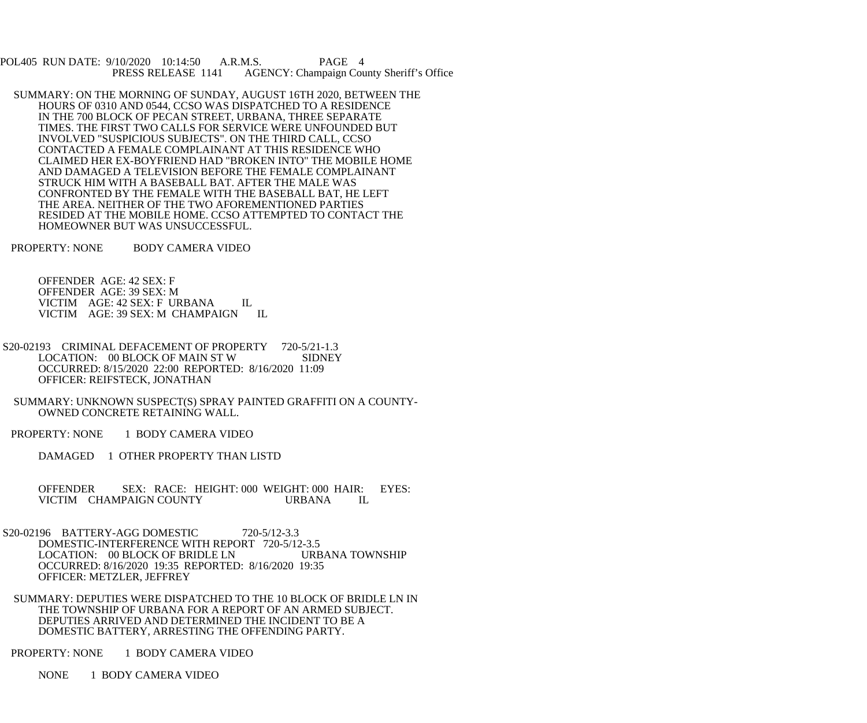POL405 RUN DATE: 9/10/2020 10:14:50 A.R.M.S. PAGE 4<br>PRESS RELEASE 1141 AGENCY: Champaign Cou AGENCY: Champaign County Sheriff's Office

 SUMMARY: ON THE MORNING OF SUNDAY, AUGUST 16TH 2020, BETWEEN THE HOURS OF 0310 AND 0544, CCSO WAS DISPATCHED TO A RESIDENCE IN THE 700 BLOCK OF PECAN STREET, URBANA, THREE SEPARATE TIMES. THE FIRST TWO CALLS FOR SERVICE WERE UNFOUNDED BUT INVOLVED "SUSPICIOUS SUBJECTS". ON THE THIRD CALL, CCSO CONTACTED A FEMALE COMPLAINANT AT THIS RESIDENCE WHO CLAIMED HER EX-BOYFRIEND HAD "BROKEN INTO" THE MOBILE HOME AND DAMAGED A TELEVISION BEFORE THE FEMALE COMPLAINANT STRUCK HIM WITH A BASEBALL BAT. AFTER THE MALE WAS CONFRONTED BY THE FEMALE WITH THE BASEBALL BAT, HE LEFT THE AREA. NEITHER OF THE TWO AFOREMENTIONED PARTIES RESIDED AT THE MOBILE HOME. CCSO ATTEMPTED TO CONTACT THE HOMEOWNER BUT WAS UNSUCCESSFUL.

PROPERTY: NONE BODY CAMERA VIDEO

 OFFENDER AGE: 42 SEX: F OFFENDER AGE: 39 SEX: M VICTIM AGE: 42 SEX: F URBANA IL VICTIM AGE: 39 SEX: M CHAMPAIGN IL

- S20-02193 CRIMINAL DEFACEMENT OF PROPERTY 720-5/21-1.3<br>LOCATION: 00 BLOCK OF MAIN ST W SIDNEY LOCATION: 00 BLOCK OF MAIN ST W OCCURRED: 8/15/2020 22:00 REPORTED: 8/16/2020 11:09 OFFICER: REIFSTECK, JONATHAN
- SUMMARY: UNKNOWN SUSPECT(S) SPRAY PAINTED GRAFFITI ON A COUNTY- OWNED CONCRETE RETAINING WALL.
- PROPERTY: NONE 1 BODY CAMERA VIDEO
	- DAMAGED 1 OTHER PROPERTY THAN LISTD
	- OFFENDER SEX: RACE: HEIGHT: 000 WEIGHT: 000 HAIR: EYES: VICTIM CHAMPAIGN COUNTY URBANA IL
- S20-02196 BATTERY-AGG DOMESTIC 720-5/12-3.3 DOMESTIC-INTERFERENCE WITH REPORT 720-5/12-3.5<br>LOCATION: 00 BLOCK OF BRIDLE LN URBANA TOWNSHIP LOCATION: 00 BLOCK OF BRIDLE LN OCCURRED: 8/16/2020 19:35 REPORTED: 8/16/2020 19:35 OFFICER: METZLER, JEFFREY
	- SUMMARY: DEPUTIES WERE DISPATCHED TO THE 10 BLOCK OF BRIDLE LN IN THE TOWNSHIP OF URBANA FOR A REPORT OF AN ARMED SUBJECT. DEPUTIES ARRIVED AND DETERMINED THE INCIDENT TO BE A DOMESTIC BATTERY, ARRESTING THE OFFENDING PARTY.
- PROPERTY: NONE 1 BODY CAMERA VIDEO
	- NONE 1 BODY CAMERA VIDEO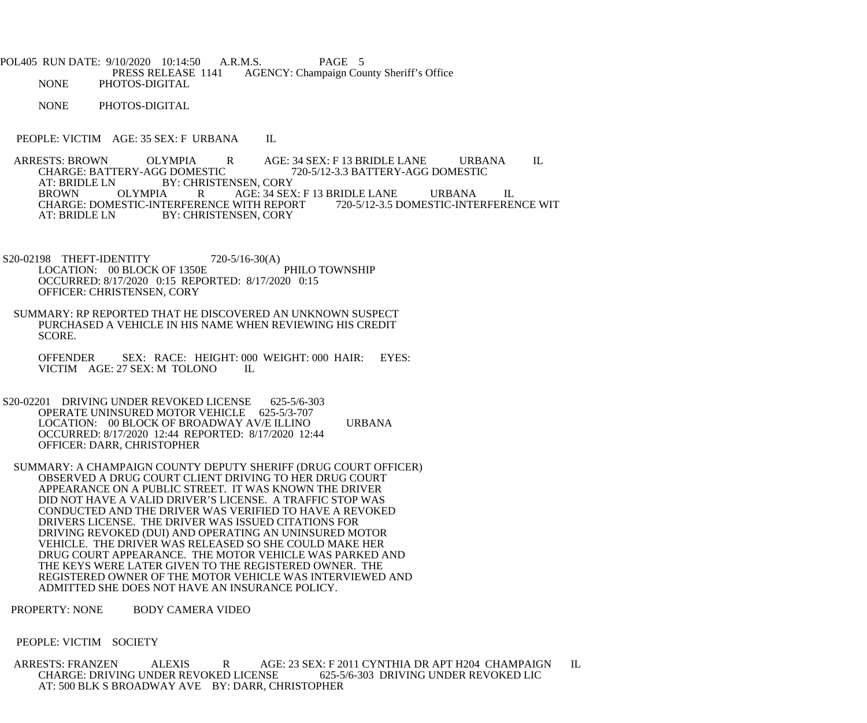POL405 RUN DATE: 9/10/2020 10:14:50 A.R.M.S. PAGE 5 PRESS RELEASE 1141 AGENCY: Champaign County Sheriff's Office NONE PHOTOS-DIGITAL

NONE PHOTOS-DIGITAL

PEOPLE: VICTIM AGE: 35 SEX: F URBANA IL

ARRESTS: BROWN OLYMPIA R AGE: 34 SEX: F 13 BRIDLE LANE URBANA IL<br>CHARGE: BATTERY-AGG DOMESTIC 720-5/12-3.3 BATTERY-AGG DOMESTIC 720-5/12-3.3 BATTERY-AGG DOMESTIC AT: BRIDLE LN BY: CHRISTENSEN, CORY BROWN OLYMPIA R AGE: 34 SEX: F 13 BRIDLE LANE URBANA IL<br>CHARGE: DOMESTIC-INTERFERENCE WITH REPORT 720-5/12-3.5 DOMESTIC-INTERFERENCE WIT CHARGE: DOMESTIC-INTERFERENCE WITH REPORT<br>AT: BRIDLE LN BY: CHRISTENSEN. CORY BY: CHRISTENSEN, CORY

S20-02198 THEFT-IDENTITY 720-5/16-30(A) LOCATION: 00 BLOCK OF 1350E PHILO TOWNSHIP OCCURRED: 8/17/2020 0:15 REPORTED: 8/17/2020 0:15 OFFICER: CHRISTENSEN, CORY

 SUMMARY: RP REPORTED THAT HE DISCOVERED AN UNKNOWN SUSPECT PURCHASED A VEHICLE IN HIS NAME WHEN REVIEWING HIS CREDIT SCORE.

 OFFENDER SEX: RACE: HEIGHT: 000 WEIGHT: 000 HAIR: EYES: VICTIM AGE: 27 SEX: M TOLONO IL

- S20-02201 DRIVING UNDER REVOKED LICENSE 625-5/6-303 OPERATE UNINSURED MOTOR VEHICLE 625-5/3-707 LOCATION: 00 BLOCK OF BROADWAY AV/E ILLINO URBANA OCCURRED: 8/17/2020 12:44 REPORTED: 8/17/2020 12:44 OFFICER: DARR, CHRISTOPHER
- SUMMARY: A CHAMPAIGN COUNTY DEPUTY SHERIFF (DRUG COURT OFFICER) OBSERVED A DRUG COURT CLIENT DRIVING TO HER DRUG COURT APPEARANCE ON A PUBLIC STREET. IT WAS KNOWN THE DRIVER DID NOT HAVE A VALID DRIVER'S LICENSE. A TRAFFIC STOP WAS CONDUCTED AND THE DRIVER WAS VERIFIED TO HAVE A REVOKED DRIVERS LICENSE. THE DRIVER WAS ISSUED CITATIONS FOR DRIVING REVOKED (DUI) AND OPERATING AN UNINSURED MOTOR VEHICLE. THE DRIVER WAS RELEASED SO SHE COULD MAKE HER DRUG COURT APPEARANCE. THE MOTOR VEHICLE WAS PARKED AND THE KEYS WERE LATER GIVEN TO THE REGISTERED OWNER. THE REGISTERED OWNER OF THE MOTOR VEHICLE WAS INTERVIEWED AND ADMITTED SHE DOES NOT HAVE AN INSURANCE POLICY.

PROPERTY: NONE BODY CAMERA VIDEO

## PEOPLE: VICTIM SOCIETY

 ARRESTS: FRANZEN ALEXIS R AGE: 23 SEX: F 2011 CYNTHIA DR APT H204 CHAMPAIGN IL CHARGE: DRIVING UNDER REVOKED LICENSE 625-5/6-303 DRIVING UNDER REVOKED LIC AT: 500 BLK S BROADWAY AVE BY: DARR, CHRISTOPHER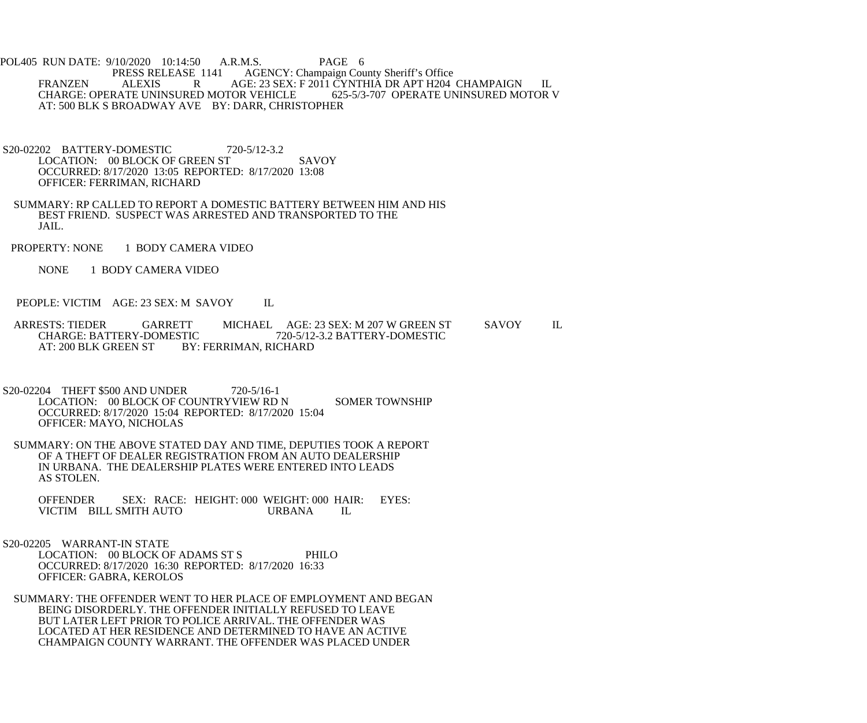POL405 RUN DATE: 9/10/2020 10:14:50 A.R.M.S. PAGE 6<br>PRESS RELEASE 1141 AGENCY: Champaign Cou E 1141 AGENCY: Champaign County Sheriff's Office<br>R AGE: 23 SEX: F 2011 CYNTHIA DR APT H204 FRANZEN ALEXIS R AGE: 23 SEX: F 2011 CYNTHIA DR APT H204 CHAMPAIGN IL CHARGE: OPERATE UNINSURED MOTOR V CHARGE: OPERATE UNINSURED MOTOR VEHICLE AT: 500 BLK S BROADWAY AVE BY: DARR, CHRISTOPHER

- S20-02202 BATTERY-DOMESTIC 720-5/12-3.2 LOCATION: 00 BLOCK OF GREEN ST SAVOY OCCURRED: 8/17/2020 13:05 REPORTED: 8/17/2020 13:08 OFFICER: FERRIMAN, RICHARD
- SUMMARY: RP CALLED TO REPORT A DOMESTIC BATTERY BETWEEN HIM AND HIS BEST FRIEND. SUSPECT WAS ARRESTED AND TRANSPORTED TO THE JAIL.
- PROPERTY: NONE 1 BODY CAMERA VIDEO
	- NONE 1 BODY CAMERA VIDEO
- PEOPLE: VICTIM AGE: 23 SEX: M SAVOY IL
- ARRESTS: TIEDER GARRETT MICHAEL AGE: 23 SEX: M 207 W GREEN ST SAVOY IL CHARGE: BATTERY-DOMESTIC 720-5/12-3.2 BATTERY-DOMESTIC CHARGE: BATTERY-DOMESTIC 720-5/12-3.2 BATTERY-DOMESTIC<br>AT: 200 BLK GREEN ST BY: FERRIMAN, RICHARD BY: FERRIMAN, RICHARD
- S20-02204 THEFT \$500 AND UNDER 720-5/16-1 LOCATION: 00 BLOCK OF COUNTRYVIEW RD N SOMER TOWNSHIP OCCURRED: 8/17/2020 15:04 REPORTED: 8/17/2020 15:04 OFFICER: MAYO, NICHOLAS
- SUMMARY: ON THE ABOVE STATED DAY AND TIME, DEPUTIES TOOK A REPORT OF A THEFT OF DEALER REGISTRATION FROM AN AUTO DEALERSHIP IN URBANA. THE DEALERSHIP PLATES WERE ENTERED INTO LEADS AS STOLEN.
	- OFFENDER SEX: RACE: HEIGHT: 000 WEIGHT: 000 HAIR: EYES:<br>VICTIM BILL SMITH AUTO URBANA IL VICTIM BILL SMITH AUTO
- S20-02205 WARRANT-IN STATE LOCATION: 00 BLOCK OF ADAMS ST S PHILO OCCURRED: 8/17/2020 16:30 REPORTED: 8/17/2020 16:33 OFFICER: GABRA, KEROLOS
	- SUMMARY: THE OFFENDER WENT TO HER PLACE OF EMPLOYMENT AND BEGAN BEING DISORDERLY. THE OFFENDER INITIALLY REFUSED TO LEAVE BUT LATER LEFT PRIOR TO POLICE ARRIVAL. THE OFFENDER WAS LOCATED AT HER RESIDENCE AND DETERMINED TO HAVE AN ACTIVE CHAMPAIGN COUNTY WARRANT. THE OFFENDER WAS PLACED UNDER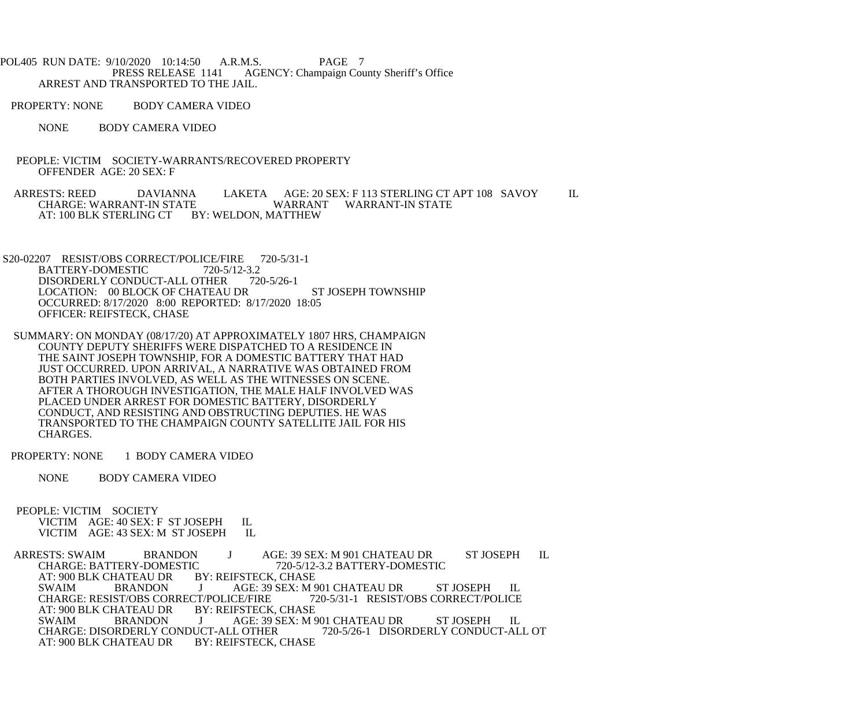POL405 RUN DATE: 9/10/2020 10:14:50 A.R.M.S. PAGE 7<br>PRESS RELEASE 1141 AGENCY: Champaign Cou AGENCY: Champaign County Sheriff's Office ARREST AND TRANSPORTED TO THE JAIL.

PROPERTY: NONE BODY CAMERA VIDEO

NONE BODY CAMERA VIDEO

 PEOPLE: VICTIM SOCIETY-WARRANTS/RECOVERED PROPERTY OFFENDER AGE: 20 SEX: F

ARRESTS: REED DAVIANNA LAKETA AGE: 20 SEX: F 113 STERLING CT APT 108 SAVOY IL CHARGE: WARRANT WARRANT WARRANT-IN STATE WARRANT WARRANT-IN STATE AT: 100 BLK STERLING CT BY: WELDON, MATTHEW

- S20-02207 RESIST/OBS CORRECT/POLICE/FIRE 720-5/31-1<br>BATTERY-DOMESTIC 720-5/12-3.2 BATTERY-DOMESTIC 720-5/12-3.2<br>DISORDERLY CONDUCT-ALL OTHER 720-5/26-1 DISORDERLY CONDUCT-ALL OTHER LOCATION: 00 BLOCK OF CHATEAU DR ST JOSEPH TOWNSHIP OCCURRED: 8/17/2020 8:00 REPORTED: 8/17/2020 18:05 OFFICER: REIFSTECK, CHASE
- SUMMARY: ON MONDAY (08/17/20) AT APPROXIMATELY 1807 HRS, CHAMPAIGN COUNTY DEPUTY SHERIFFS WERE DISPATCHED TO A RESIDENCE IN THE SAINT JOSEPH TOWNSHIP, FOR A DOMESTIC BATTERY THAT HAD JUST OCCURRED. UPON ARRIVAL, A NARRATIVE WAS OBTAINED FROM BOTH PARTIES INVOLVED, AS WELL AS THE WITNESSES ON SCENE. AFTER A THOROUGH INVESTIGATION, THE MALE HALF INVOLVED WAS PLACED UNDER ARREST FOR DOMESTIC BATTERY, DISORDERLY CONDUCT, AND RESISTING AND OBSTRUCTING DEPUTIES. HE WAS TRANSPORTED TO THE CHAMPAIGN COUNTY SATELLITE JAIL FOR HIS CHARGES.

PROPERTY: NONE 1 BODY CAMERA VIDEO

- NONE BODY CAMERA VIDEO
- PEOPLE: VICTIM SOCIETY VICTIM AGE: 40 SEX: F ST JOSEPH IL<br>VICTIM AGE: 43 SEX: M ST JOSEPH IL VICTIM AGE: 43 SEX: M ST JOSEPH

ARRESTS: SWAIM BRANDON J AGE: 39 SEX: M 901 CHATEAU DR ST JOSEPH IL<br>CHARGE: BATTERY-DOMESTIC 720-5/12-3.2 BATTERY-DOMESTIC C 720-5/12-3.2 BATTERY-DOMESTIC<br>BY: REIFSTECK, CHASE AT: 900 BLK CHATEAU DR<br>SWAIM BRANDON J AGE: 39 SEX: M 901 CHATEAU DR ST JOSEPH IL<br>T/POLICE/FIRE 720-5/31-1 RESIST/OBS CORRECT/POLICE CHARGE: RESIST/OBS CORRECT/POLICE/FIRE 7<br>AT: 900 BLK CHATEAU DR BY: REIFSTECK, CHASE AT: 900 BLK CHATEAU DR<br>SWAIM BRANDON J AGE: 39 SEX: M 901 CHATEAU DR ST JOSEPH IL<br>JCT-ALL OTHER 720-5/26-1 DISORDERLY CONDUCT-ALL OT CHARGE: DISORDERLY CONDUCT-ALL OTHER<br>AT: 900 BLK CHATEAU DR BY: REIFSTECK, CHASE AT: 900 BLK CHATEAU DR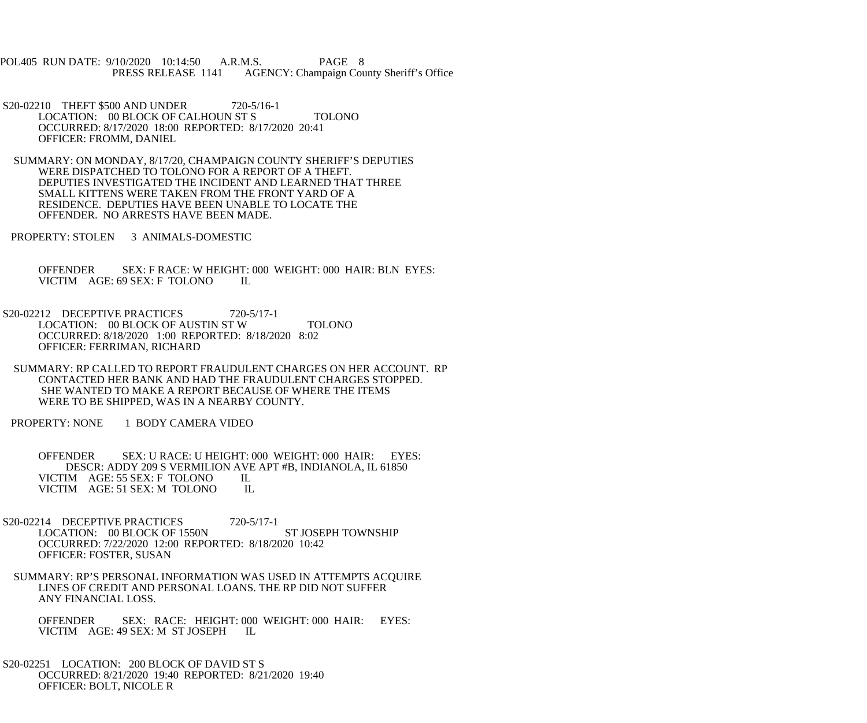POL405 RUN DATE: 9/10/2020 10:14:50 A.R.M.S. PAGE 8<br>PRESS RELEASE 1141 AGENCY: Champaign Cou AGENCY: Champaign County Sheriff's Office

S20-02210 THEFT \$500 AND UNDER 720-5/16-1 LOCATION: 00 BLOCK OF CALHOUN ST S TOLONO OCCURRED: 8/17/2020 18:00 REPORTED: 8/17/2020 20:41 OFFICER: FROMM, DANIEL

 SUMMARY: ON MONDAY, 8/17/20, CHAMPAIGN COUNTY SHERIFF'S DEPUTIES WERE DISPATCHED TO TOLONO FOR A REPORT OF A THEFT. DEPUTIES INVESTIGATED THE INCIDENT AND LEARNED THAT THREE SMALL KITTENS WERE TAKEN FROM THE FRONT YARD OF A RESIDENCE. DEPUTIES HAVE BEEN UNABLE TO LOCATE THE OFFENDER. NO ARRESTS HAVE BEEN MADE.

PROPERTY: STOLEN 3 ANIMALS-DOMESTIC

 OFFENDER SEX: F RACE: W HEIGHT: 000 WEIGHT: 000 HAIR: BLN EYES: VICTIM AGE: 69 SEX: F TOLONO IL

S20-02212 DECEPTIVE PRACTICES 720-5/17-1 LOCATION: 00 BLOCK OF AUSTIN ST W TOLONO OCCURRED: 8/18/2020 1:00 REPORTED: 8/18/2020 8:02 OFFICER: FERRIMAN, RICHARD

 SUMMARY: RP CALLED TO REPORT FRAUDULENT CHARGES ON HER ACCOUNT. RP CONTACTED HER BANK AND HAD THE FRAUDULENT CHARGES STOPPED. SHE WANTED TO MAKE A REPORT BECAUSE OF WHERE THE ITEMS WERE TO BE SHIPPED, WAS IN A NEARBY COUNTY.

PROPERTY: NONE 1 BODY CAMERA VIDEO

 OFFENDER SEX: U RACE: U HEIGHT: 000 WEIGHT: 000 HAIR: EYES: DESCR: ADDY 209 S VERMILION AVE APT #B, INDIANOLA, IL 61850<br>IM AGE: 55 SEX: F TOLONO IL VICTIM AGE: 55 SEX: F TOLONO VICTIM AGE: 51 SEX: M TOLONO IL

S20-02214 DECEPTIVE PRACTICES 720-5/17-1 LOCATION: 00 BLOCK OF 1550N ST JOSEPH TOWNSHIP OCCURRED: 7/22/2020 12:00 REPORTED: 8/18/2020 10:42 OFFICER: FOSTER, SUSAN

 SUMMARY: RP'S PERSONAL INFORMATION WAS USED IN ATTEMPTS ACQUIRE LINES OF CREDIT AND PERSONAL LOANS. THE RP DID NOT SUFFER ANY FINANCIAL LOSS.

OFFENDER SEX: RACE: HEIGHT: 000 WEIGHT: 000 HAIR: EYES:<br>VICTIM AGE: 49 SEX: M ST JOSEPH IL VICTIM AGE: 49 SEX: M ST JOSEPH

 S20-02251 LOCATION: 200 BLOCK OF DAVID ST S OCCURRED: 8/21/2020 19:40 REPORTED: 8/21/2020 19:40 OFFICER: BOLT, NICOLE R